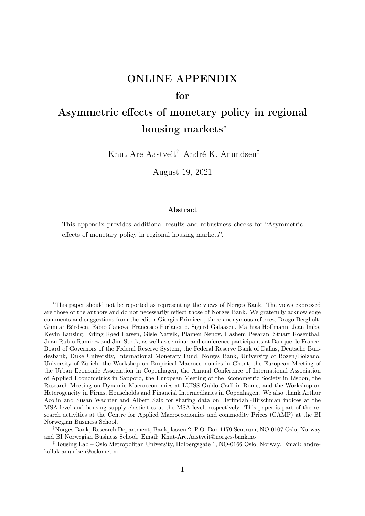# ONLINE APPENDIX

## for

## Asymmetric effects of monetary policy in regional housing markets<sup>∗</sup>

Knut Are Aastveit† André K. Anundsen‡

August 19, 2021

#### Abstract

This appendix provides additional results and robustness checks for "Asymmetric effects of monetary policy in regional housing markets".

<sup>∗</sup>This paper should not be reported as representing the views of Norges Bank. The views expressed are those of the authors and do not necessarily reflect those of Norges Bank. We gratefully acknowledge comments and suggestions from the editor Giorgio Primiceri, three anonymous referees, Drago Bergholt, Gunnar Bårdsen, Fabio Canova, Francesco Furlanetto, Sigurd Galaasen, Mathias Hoffmann, Jean Imbs, Kevin Lansing, Erling Røed Larsen, Gisle Natvik, Plamen Nenov, Hashem Pesaran, Stuart Rosenthal, Juan Rubio-Ramirez and Jim Stock, as well as seminar and conference participants at Banque de France, Board of Governors of the Federal Reserve System, the Federal Reserve Bank of Dallas, Deutsche Bundesbank, Duke University, International Monetary Fund, Norges Bank, University of Bozen/Bolzano, University of Zürich, the Workshop on Empirical Macroeconomics in Ghent, the European Meeting of the Urban Economic Association in Copenhagen, the Annual Conference of International Association of Applied Econometrics in Sapporo, the European Meeting of the Econometric Society in Lisbon, the Research Meeting on Dynamic Macroeconomics at LUISS-Guido Carli in Rome, and the Workshop on Heterogeneity in Firms, Households and Financial Intermediaries in Copenhagen. We also thank Arthur Acolin and Susan Wachter and Albert Saiz for sharing data on Herfindahl-Hirschman indices at the MSA-level and housing supply elasticities at the MSA-level, respectively. This paper is part of the research activities at the Centre for Applied Macroeconomics and commodity Prices (CAMP) at the BI Norwegian Business School.

<sup>†</sup>Norges Bank, Research Department, Bankplassen 2, P.O. Box 1179 Sentrum, NO-0107 Oslo, Norway and BI Norwegian Business School. Email: Knut-Are.Aastveit@norges-bank.no

<sup>‡</sup>Housing Lab – Oslo Metropolitan University, Holbergsgate 1, NO-0166 Oslo, Norway. Email: andrekallak.anundsen@oslomet.no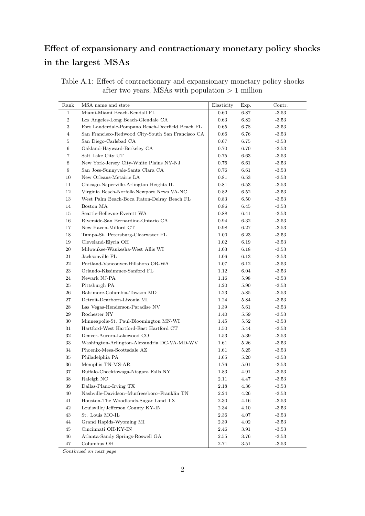## Effect of expansionary and contractionary monetary policy shocks in the largest MSAs

| Table A.1: Effect of contractionary and expansionary monetary policy shocks |  |  |
|-----------------------------------------------------------------------------|--|--|
| after two years, MSAs with population $> 1$ million                         |  |  |

| Rank           | MSA name and state                                | Elasticity | Exp.     | Contr.  |
|----------------|---------------------------------------------------|------------|----------|---------|
| $\mathbf{1}$   | Miami-Miami Beach-Kendall FL                      | 0.60       | 6.87     | $-3.53$ |
| $\,2$          | Los Angeles-Long Beach-Glendale CA                | 0.63       | 6.82     | $-3.53$ |
| $\sqrt{3}$     | Fort Lauderdale-Pompano Beach-Deerfield Beach FL  | 0.65       | 6.78     | $-3.53$ |
| $\overline{4}$ | San Francisco-Redwood City-South San Francisco CA | $0.66\,$   | 6.76     | $-3.53$ |
| $\bf 5$        | San Diego-Carlsbad CA                             | 0.67       | 6.75     | $-3.53$ |
| 6              | Oakland-Hayward-Berkeley CA                       | 0.70       | 6.70     | $-3.53$ |
| $\,7$          | Salt Lake City UT                                 | 0.75       | 6.63     | $-3.53$ |
| $\,8\,$        | New York-Jersey City-White Plains NY-NJ           | 0.76       | 6.61     | $-3.53$ |
| $\,9$          | San Jose-Sunnyvale-Santa Clara CA                 | 0.76       | 6.61     | $-3.53$ |
| 10             | New Orleans-Metairie LA                           | 0.81       | 6.53     | $-3.53$ |
| 11             | Chicago-Naperville-Arlington Heights IL           | 0.81       | 6.53     | $-3.53$ |
| 12             | Virginia Beach-Norfolk-Newport News VA-NC         | 0.82       | 6.52     | $-3.53$ |
| 13             | West Palm Beach-Boca Raton-Delray Beach FL        | 0.83       | 6.50     | $-3.53$ |
| 14             | Boston MA                                         | 0.86       | 6.45     | $-3.53$ |
| 15             | Seattle-Bellevue-Everett WA                       | 0.88       | 6.41     | $-3.53$ |
| 16             | Riverside-San Bernardino-Ontario CA               | 0.94       | 6.32     | $-3.53$ |
| 17             | New Haven-Milford CT                              | 0.98       | 6.27     | $-3.53$ |
| 18             | Tampa-St. Petersburg-Clearwater FL                | 1.00       | 6.23     | $-3.53$ |
| 19             | Cleveland-Elyria OH                               | 1.02       | 6.19     | $-3.53$ |
| 20             | Milwaukee-Waukesha-West Allis WI                  | 1.03       | 6.18     | $-3.53$ |
| 21             | Jacksonville FL                                   | 1.06       | 6.13     | $-3.53$ |
| 22             | Portland-Vancouver-Hillsboro OR-WA                | 1.07       | 6.12     | $-3.53$ |
| 23             | Orlando-Kissimmee-Sanford FL                      | 1.12       | 6.04     | $-3.53$ |
| 24             | Newark NJ-PA                                      | 1.16       | 5.98     | $-3.53$ |
| $25\,$         | Pittsburgh PA                                     | 1.20       | 5.90     | $-3.53$ |
| 26             | Baltimore-Columbia-Towson MD                      | 1.23       | 5.85     | $-3.53$ |
| $27\,$         | Detroit-Dearborn-Livonia MI                       | 1.24       | 5.84     | $-3.53$ |
| 28             | Las Vegas-Henderson-Paradise NV                   | 1.39       | 5.61     | $-3.53$ |
| 29             | Rochester NY                                      | 1.40       | 5.59     | $-3.53$ |
| 30             | Minneapolis-St. Paul-Bloomington MN-WI            | 1.45       | 5.52     | $-3.53$ |
| 31             | Hartford-West Hartford-East Hartford CT           | 1.50       | 5.44     | $-3.53$ |
| $32\,$         | Denver-Aurora-Lakewood CO                         | 1.53       | 5.39     | $-3.53$ |
| 33             | Washington-Arlington-Alexandria DC-VA-MD-WV       | 1.61       | 5.26     | $-3.53$ |
| 34             | Phoenix-Mesa-Scottsdale AZ                        | 1.61       | 5.25     | $-3.53$ |
| 35             | Philadelphia PA                                   | 1.65       | 5.20     | $-3.53$ |
| 36             | Memphis TN-MS-AR                                  | 1.76       | 5.01     | $-3.53$ |
| 37             | Buffalo-Cheektowaga-Niagara Falls NY              | 1.83       | 4.91     | $-3.53$ |
| 38             | Raleigh NC                                        | 2.11       | 4.47     | $-3.53$ |
| $39\,$         | Dallas-Plano-Irving TX                            | 2.18       | 4.36     | $-3.53$ |
| 40             | Nashville-Davidson-Murfreesboro-Franklin TN       | 2.24       | 4.26     | $-3.53$ |
| 41             | Houston-The Woodlands-Sugar Land TX               | 2.30       | $4.16\,$ | $-3.53$ |
| 42             | Louisville/Jefferson County KY-IN                 | 2.34       | 4.10     | $-3.53$ |
| 43             | St. Louis MO-IL                                   | 2.36       | 4.07     | $-3.53$ |
| 44             | Grand Rapids-Wyoming MI                           | 2.39       | 4.02     | $-3.53$ |
| 45             | Cincinnati OH-KY-IN                               | 2.46       | 3.91     | $-3.53$ |
| 46             | Atlanta-Sandy Springs-Roswell GA                  | 2.55       | 3.76     | $-3.53$ |
| 47             | Columbus OH                                       | 2.71       | 3.51     | $-3.53$ |

Continued on next page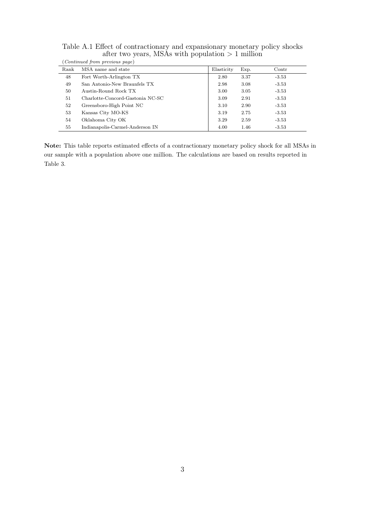| (Continued from previous page) |                                  |            |      |                |  |
|--------------------------------|----------------------------------|------------|------|----------------|--|
| Rank                           | MSA name and state               | Elasticity | Exp. | $_{\rm Contr}$ |  |
| 48                             | Fort Worth-Arlington TX          | 2.80       | 3.37 | $-3.53$        |  |
| 49                             | San Antonio-New Braunfels TX     | 2.98       | 3.08 | $-3.53$        |  |
| 50                             | Austin-Round Rock TX             | 3.00       | 3.05 | $-3.53$        |  |
| 51                             | Charlotte-Concord-Gastonia NC-SC | 3.09       | 2.91 | $-3.53$        |  |
| 52                             | Greensboro-High Point NC         | 3.10       | 2.90 | $-3.53$        |  |
| 53                             | Kansas City MO-KS                | 3.19       | 2.75 | $-3.53$        |  |
| 54                             | Oklahoma City OK                 | 3.29       | 2.59 | $-3.53$        |  |
| 55                             | Indianapolis-Carmel-Anderson IN  | 4.00       | 1.46 | $-3.53$        |  |

Table A.1 Effect of contractionary and expansionary monetary policy shocks after two years, MSAs with population  $> 1$  million

Note: This table reports estimated effects of a contractionary monetary policy shock for all MSAs in our sample with a population above one million. The calculations are based on results reported in Table 3.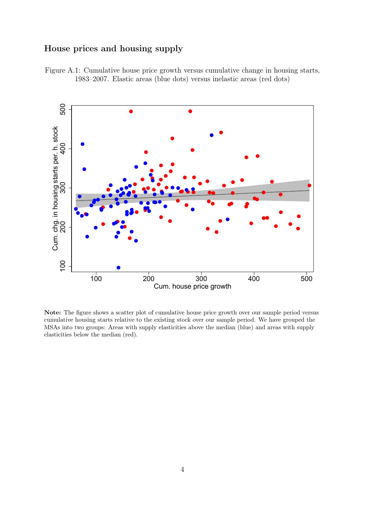### House prices and housing supply

Figure A.1: Cumulative house price growth versus cumulative change in housing starts, 1983–2007. Elastic areas (blue dots) versus inelastic areas (red dots)



Note: The figure shows a scatter plot of cumulative house price growth over our sample period versus cumulative housing starts relative to the existing stock over our sample period. We have grouped the MSAs into two groups: Areas with supply elasticities above the median (blue) and areas with supply elasticities below the median (red).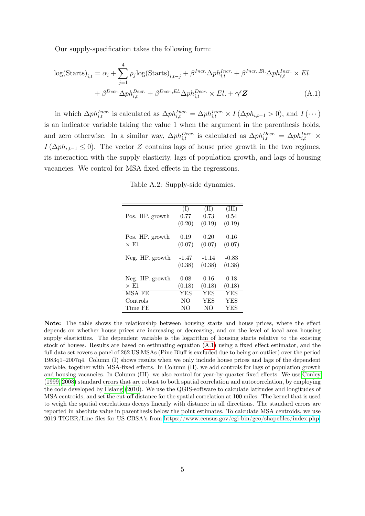Our supply-specification takes the following form:

$$
\log(\text{Starts})_{i,t} = \alpha_i + \sum_{j=1}^{4} \rho_j \log(\text{Starts})_{i,t-j} + \beta^{Incr} \Delta p h_{i,t}^{Incr.} + \beta^{Incr.} \Delta p h_{i,t}^{Incr.} \times El.
$$

$$
+ \beta^{Decr.} \Delta p h_{i,t}^{Decr.} + \beta^{Decr.} \Delta p h_{i,t}^{Decr.} \times El. + \gamma' \mathbf{Z}
$$
(A.1)

in which  $\Delta ph_{i,t}^{Incr.}$  is calculated as  $\Delta ph_{i,t}^{Incr.} = \Delta ph_{i,t}^{Incr.} \times I(\Delta ph_{i,t-1} > 0)$ , and  $I(\cdots)$ is an indicator variable taking the value 1 when the argument in the parenthesis holds, and zero otherwise. In a similar way,  $\Delta ph_{i,t}^{Decr.}$  is calculated as  $\Delta ph_{i,t}^{Decr.} = \Delta ph_{i,t}^{Incr.} \times$  $I(\Delta ph_{i,t-1} \leq 0)$ . The vector Z contains lags of house price growth in the two regimes, its interaction with the supply elasticity, lags of population growth, and lags of housing vacancies. We control for MSA fixed effects in the regressions.

<span id="page-4-0"></span>Table A.2: Supply-side dynamics.

|                                      | $(\mathrm{I})$ | (II)       | (III)      |
|--------------------------------------|----------------|------------|------------|
| $\overline{\text{Pos}}$ . HP. growth | 0.77           | 0.73       | 0.54       |
|                                      | (0.20)         | (0.19)     | (0.19)     |
| Pos. HP. growth                      | 0.19           | 0.20       | 0.16       |
| $\times$ El.                         | (0.07)         | (0.07)     | (0.07)     |
| Neg. HP. growth                      | $-1.47$        | $-1.14$    | $-0.83$    |
|                                      | (0.38)         | (0.38)     | (0.38)     |
| Neg. HP. growth                      | 0.08           | 0.16       | 0.18       |
| $\times$ El.                         | (0.18)         | (0.18)     | (0.18)     |
| MSA FE                               | YES            | <b>YES</b> | <b>YES</b> |
| Controls                             | NO.            | <b>YES</b> | YES        |
| Time FE                              | NO             | NO         | <b>YES</b> |

Note: The table shows the relationship between housing starts and house prices, where the effect depends on whether house prices are increasing or decreasing, and on the level of local area housing supply elasticities. The dependent variable is the logarithm of housing starts relative to the existing stock of houses. Results are based on estimating equation [\(A.1\)](#page-4-0) using a fixed effect estimator, and the full data set covers a panel of 262 US MSAs (Pine Bluff is excluded due to being an outlier) over the period 1983q1–2007q4. Column (I) shows results when we only include house prices and lags of the dependent variable, together with MSA-fixed effects. In Column (II), we add controls for lags of population growth and housing vacancies. In Column (III), we also control for year-by-quarter fixed effects. We use [Conley](#page-14-0) [\(1999,](#page-14-0) [2008\)](#page-14-1) standard errors that are robust to both spatial correlation and autocorrelation, by employing the code developed by [Hsiang](#page-14-2) [\(2010\)](#page-14-2). We use the QGIS-software to calculate latitudes and longitudes of MSA centroids, and set the cut-off distance for the spatial correlation at 100 miles. The kernel that is used to weigh the spatial correlations decays linearly with distance in all directions. The standard errors are reported in absolute value in parenthesis below the point estimates. To calculate MSA centroids, we use 2019 TIGER/Line files for US CBSA's from [https://www.census.gov/cgi-bin/geo/shapefiles/index.php.](https://www.census.gov/cgi-bin/geo/shapefiles/index.php)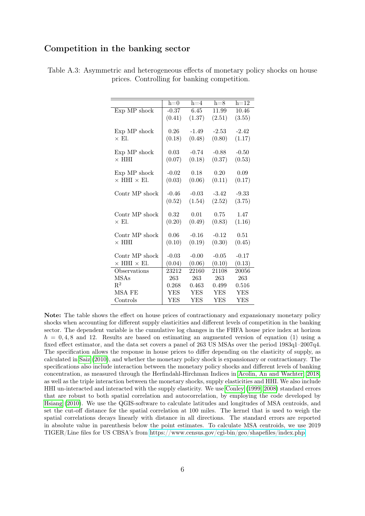#### Competition in the banking sector

|                           | $h=0$      | $h=4$      | $h=8$      | $h=12$     |
|---------------------------|------------|------------|------------|------------|
| Exp MP shock              | $-0.37$    | 6.45       | 11.99      | 10.46      |
|                           | (0.41)     | (1.37)     | (2.51)     | (3.55)     |
|                           |            |            |            |            |
| Exp MP shock              | 0.26       | $-1.49$    | $-2.53$    | $-2.42$    |
| $\times$ El.              | (0.18)     | (0.48)     | (0.80)     | (1.17)     |
|                           |            |            |            |            |
| Exp MP shock              | 0.03       | $-0.74$    | $-0.88$    | $-0.50$    |
| $\times$ HHI              | (0.07)     | (0.18)     | (0.37)     | (0.53)     |
| Exp MP shock              | $-0.02$    | 0.18       | 0.20       | 0.09       |
| $\times$ HHI $\times$ El. | (0.03)     | (0.06)     | (0.11)     | (0.17)     |
|                           |            |            |            |            |
| Contr MP shock            | $-0.46$    | $-0.03$    | $-3.42$    | $-9.33$    |
|                           | (0.52)     | (1.54)     | (2.52)     | (3.75)     |
|                           |            |            |            |            |
| Contr MP shock            | 0.32       | 0.01       | 0.75       | 1.47       |
| $\times$ El.              | (0.20)     | (0.49)     | (0.83)     | (1.16)     |
|                           |            |            |            |            |
| Contr MP shock            | 0.06       | $-0.16$    | $-0.12$    | 0.51       |
| $\times$ HHI              | (0.10)     | (0.19)     | (0.30)     | (0.45)     |
|                           |            |            |            |            |
| Contr MP shock            | $-0.03$    | $-0.00$    | $-0.05$    | $-0.17$    |
| $\times$ HHI $\times$ El. | (0.04)     | (0.06)     | (0.10)     | (0.13)     |
| Observations              | 23212      | 22160      | 21108      | 20056      |
| <b>MSAs</b>               | 263        | 263        | 263        | 263        |
| $R^2$                     | 0.268      | 0.463      | 0.499      | 0.516      |
| MSA FE                    | <b>YES</b> | <b>YES</b> | YES        | YES        |
| Controls                  | <b>YES</b> | <b>YES</b> | <b>YES</b> | <b>YES</b> |

Table A.3: Asymmetric and heterogeneous effects of monetary policy shocks on house prices. Controlling for banking competition.

Note: The table shows the effect on house prices of contractionary and expansionary monetary policy shocks when accounting for different supply elasticities and different levels of competition in the banking sector. The dependent variable is the cumulative log changes in the FHFA house price index at horizon  $h = 0, 4, 8$  and 12. Results are based on estimating an augmented version of equation (1) using a fixed effect estimator, and the data set covers a panel of 263 US MSAs over the period 1983q1–2007q4. The specification allows the response in house prices to differ depending on the elasticity of supply, as calculated in [Saiz](#page-14-3) [\(2010\)](#page-14-3), and whether the monetary policy shock is expansionary or contractionary. The specifications also include interaction between the monetary policy shocks and different levels of banking concentration, as measured through the Herfindahl-Hirchman Indices in [Acolin, An and Wachter, 2018,](#page-14-4) as well as the triple interaction between the monetary shocks, supply elasticities and HHI. We also include HHI un-interacted and interacted with the supply elasticity. We use [Conley](#page-14-0) [\(1999,](#page-14-0) [2008\)](#page-14-1) standard errors that are robust to both spatial correlation and autocorrelation, by employing the code developed by [Hsiang](#page-14-2) [\(2010\)](#page-14-2). We use the QGIS-software to calculate latitudes and longitudes of MSA centroids, and set the cut-off distance for the spatial correlation at 100 miles. The kernel that is used to weigh the spatial correlations decays linearly with distance in all directions. The standard errors are reported in absolute value in parenthesis below the point estimates. To calculate MSA centroids, we use 2019 TIGER/Line files for US CBSA's from [https://www.census.gov/cgi-bin/geo/shapefiles/index.php.](https://www.census.gov/cgi-bin/geo/shapefiles/index.php)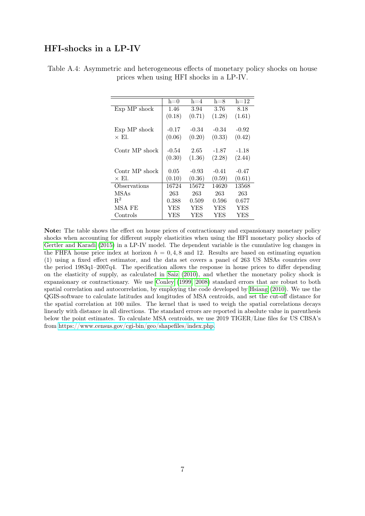#### HFI-shocks in a LP-IV

|                | $h=0$   | $h = 4$    | $h=8$      | $h=12$     |
|----------------|---------|------------|------------|------------|
| Exp MP shock   | 1.46    | 3.94       | 3.76       | 8.18       |
|                | (0.18)  | (0.71)     | (1.28)     | (1.61)     |
|                |         |            |            |            |
| Exp MP shock   | $-0.17$ | $-0.34$    | $-0.34$    | $-0.92$    |
| $\times$ El.   | (0.06)  | (0.20)     | (0.33)     | (0.42)     |
|                |         |            |            |            |
| Contr MP shock | -0.54   | 2.65       | -1.87      | $-1.18$    |
|                | (0.30)  | (1.36)     | (2.28)     | (2.44)     |
|                |         |            |            |            |
| Contr MP shock | 0.05    | $-0.93$    | $-0.41$    | $-0.47$    |
| $\times$ El.   | (0.10)  | (0.36)     | (0.59)     | (0.61)     |
| Observations   | 16724   | 15672      | 14620      | 13568      |
| <b>MSAs</b>    | 263     | 263        | 263        | 263        |
| $R^2$          | 0.388   | 0.509      | 0.596      | 0.677      |
| MSA FE         | YES     | <b>YES</b> | <b>YES</b> | <b>YES</b> |
| Controls       | YES     | YES        | YES        | YES        |

Table A.4: Asymmetric and heterogeneous effects of monetary policy shocks on house prices when using HFI shocks in a LP-IV.

Note: The table shows the effect on house prices of contractionary and expansionary monetary policy shocks when accounting for different supply elasticities when using the HFI monetary policy shocks of [Gertler and Karadi](#page-14-5) [\(2015\)](#page-14-5) in a LP-IV model. The dependent variable is the cumulative log changes in the FHFA house price index at horizon  $h = 0.4, 8$  and 12. Results are based on estimating equation (1) using a fixed effect estimator, and the data set covers a panel of 263 US MSAs countries over the period 1983q1–2007q4. The specification allows the response in house prices to differ depending on the elasticity of supply, as calculated in [Saiz](#page-14-3) [\(2010\)](#page-14-3), and whether the monetary policy shock is expansionary or contractionary. We use [Conley](#page-14-0) [\(1999,](#page-14-0) [2008\)](#page-14-1) standard errors that are robust to both spatial correlation and autocorrelation, by employing the code developed by [Hsiang](#page-14-2) [\(2010\)](#page-14-2). We use the QGIS-software to calculate latitudes and longitudes of MSA centroids, and set the cut-off distance for the spatial correlation at 100 miles. The kernel that is used to weigh the spatial correlations decays linearly with distance in all directions. The standard errors are reported in absolute value in parenthesis below the point estimates. To calculate MSA centroids, we use 2019 TIGER/Line files for US CBSA's from [https://www.census.gov/cgi-bin/geo/shapefiles/index.php.](https://www.census.gov/cgi-bin/geo/shapefiles/index.php)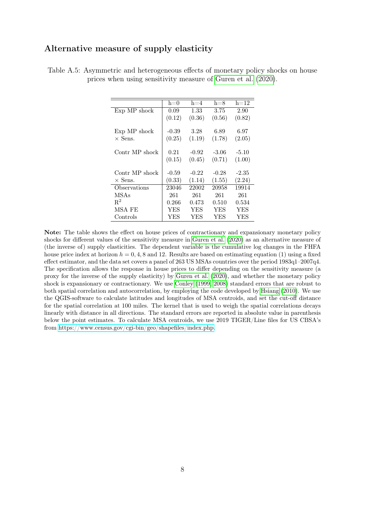#### Alternative measure of supply elasticity

|                | $h=0$   | $h = 4$ | $h=8$   | $h=12$     |
|----------------|---------|---------|---------|------------|
| Exp MP shock   | 0.09    | 1.33    | 3.75    | 2.90       |
|                | (0.12)  | (0.36)  | (0.56)  | (0.82)     |
|                |         |         |         |            |
| Exp MP shock   | $-0.39$ | 3.28    | 6.89    | 6.97       |
| $\times$ Sens. | (0.25)  | (1.19)  | (1.78)  | (2.05)     |
|                |         |         |         |            |
| Contr MP shock | 0.21    | $-0.92$ | $-3.06$ | $-5.10$    |
|                | (0.15)  | (0.45)  | (0.71)  | (1.00)     |
|                |         |         |         |            |
| Contr MP shock | $-0.59$ | $-0.22$ | $-0.28$ | $-2.35$    |
| $\times$ Sens. | (0.33)  | (1.14)  | (1.55)  | (2.24)     |
| Observations   | 23046   | 22002   | 20958   | 19914      |
| <b>MSAs</b>    | 261     | 261     | 261     | 261        |
| $R^2$          | 0.266   | 0.473   | 0.510   | 0.534      |
| MSA FE         | YES     | YES     | YES     | <b>YES</b> |
| Controls       | YES     | YES     | YES     | YES        |

Table A.5: Asymmetric and heterogeneous effects of monetary policy shocks on house prices when using sensitivity measure of [Guren et al.](#page-14-6) [\(2020\)](#page-14-6).

Note: The table shows the effect on house prices of contractionary and expansionary monetary policy shocks for different values of the sensitivity measure in [Guren et al.](#page-14-6) [\(2020\)](#page-14-6) as an alternative measure of (the inverse of) supply elasticities. The dependent variable is the cumulative log changes in the FHFA house price index at horizon  $h = 0, 4, 8$  and 12. Results are based on estimating equation (1) using a fixed effect estimator, and the data set covers a panel of 263 US MSAs countries over the period 1983q1–2007q4. The specification allows the response in house prices to differ depending on the sensitivity measure (a proxy for the inverse of the supply elasticity) by [Guren et al.](#page-14-6) [\(2020\)](#page-14-6), and whether the monetary policy shock is expansionary or contractionary. We use [Conley](#page-14-0) [\(1999,](#page-14-0) [2008\)](#page-14-1) standard errors that are robust to both spatial correlation and autocorrelation, by employing the code developed by [Hsiang](#page-14-2) [\(2010\)](#page-14-2). We use the QGIS-software to calculate latitudes and longitudes of MSA centroids, and set the cut-off distance for the spatial correlation at 100 miles. The kernel that is used to weigh the spatial correlations decays linearly with distance in all directions. The standard errors are reported in absolute value in parenthesis below the point estimates. To calculate MSA centroids, we use 2019 TIGER/Line files for US CBSA's from [https://www.census.gov/cgi-bin/geo/shapefiles/index.php.](https://www.census.gov/cgi-bin/geo/shapefiles/index.php)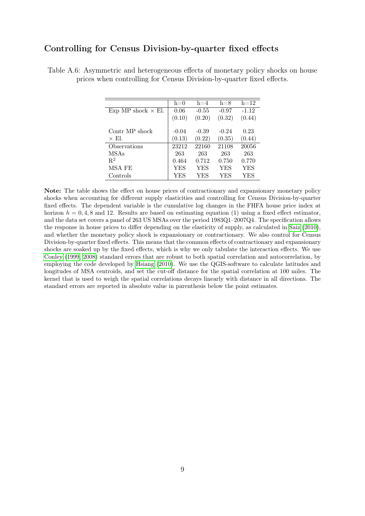#### Controlling for Census Division-by-quarter fixed effects

|                           | $h=0$   | $h=4$      | $h=8$   | $h=12$     |
|---------------------------|---------|------------|---------|------------|
| Exp MP shock $\times$ El. | 0.06    | $-0.55$    | $-0.97$ | $-1.12$    |
|                           | (0.10)  | (0.20)     | (0.32)  | (0.44)     |
|                           |         |            |         |            |
| Contr MP shock            | $-0.04$ | $-0.39$    | $-0.24$ | 0.23       |
| $\times$ El.              | (0.13)  | (0.22)     | (0.35)  | (0.44)     |
| Observations              | 23212   | 22160      | 21108   | 20056      |
| MSAs                      | 263     | 263        | 263     | 263        |
| $R^2$                     | 0.464   | 0.712      | 0.750   | 0.770      |
| MSA FE                    | YES     | <b>YES</b> | YES     | <b>YES</b> |
| Controls                  | YES     | YES        | YES     | YES        |

Table A.6: Asymmetric and heterogeneous effects of monetary policy shocks on house prices when controlling for Census Division-by-quarter fixed effects.

Note: The table shows the effect on house prices of contractionary and expansionary monetary policy shocks when accounting for different supply elasticities and controlling for Census Division-by-quarter fixed effects. The dependent variable is the cumulative log changes in the FHFA house price index at horizon  $h = 0, 4, 8$  and 12. Results are based on estimating equation (1) using a fixed effect estimator, and the data set covers a panel of 263 US MSAs over the period 1983Q1–2007Q4. The specification allows the response in house prices to differ depending on the elasticity of supply, as calculated in [Saiz](#page-14-3) [\(2010\)](#page-14-3), and whether the monetary policy shock is expansionary or contractionary. We also control for Census Division-by-quarter fixed effects. This means that the common effects of contractionary and expansionary shocks are soaked up by the fixed effects, which is why we only tabulate the interaction effects. We use [Conley](#page-14-0) [\(1999,](#page-14-0) [2008\)](#page-14-1) standard errors that are robust to both spatial correlation and autocorrelation, by employing the code developed by [Hsiang](#page-14-2) [\(2010\)](#page-14-2). We use the QGIS-software to calculate latitudes and longitudes of MSA centroids, and set the cut-off distance for the spatial correlation at 100 miles. The kernel that is used to weigh the spatial correlations decays linearly with distance in all directions. The standard errors are reported in absolute value in parenthesis below the point estimates.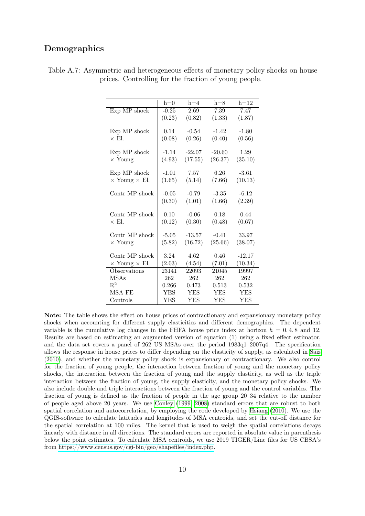#### Demographics

|                             | $h=0$      | $h=4$      | $h=8$      | $h=12$     |
|-----------------------------|------------|------------|------------|------------|
| Exp MP shock                | $-0.25$    | 2.69       | 7.39       | 7.47       |
|                             | (0.23)     | (0.82)     | (1.33)     | (1.87)     |
|                             |            |            |            |            |
| Exp MP shock                | 0.14       | $-0.54$    | $-1.42$    | $-1.80$    |
| $\times$ El.                | (0.08)     | (0.26)     | (0.40)     | (0.56)     |
|                             |            | $-22.07$   |            |            |
| Exp MP shock                | $-1.14$    |            | $-20.60$   | 1.29       |
| $\times$ Young              | (4.93)     | (17.55)    | (26.37)    | (35.10)    |
| Exp MP shock                | $-1.01$    | 7.57       | 6.26       | $-3.61$    |
| $\times$ Young $\times$ El. | (1.65)     | (5.14)     | (7.66)     | (10.13)    |
|                             |            |            |            |            |
| Contr MP shock              | $-0.05$    | $-0.79$    | $-3.35$    | $-6.12$    |
|                             | (0.30)     | (1.01)     | (1.66)     | (2.39)     |
|                             |            |            |            |            |
| Contr MP shock              | 0.10       | $-0.06$    | 0.18       | 0.44       |
| $\times$ El.                | (0.12)     | (0.30)     | (0.48)     | (0.67)     |
|                             |            |            |            |            |
| Contr MP shock              | $-5.05$    | $-13.57$   | $-0.41$    | 33.97      |
| $\times$ Young              | (5.82)     | (16.72)    | (25.66)    | (38.07)    |
|                             |            |            |            |            |
| Contr MP shock              | 3.24       | 4.62       | 0.46       | $-12.17$   |
| $\times$ Young $\times$ El. | (2.03)     | (4.54)     | (7.01)     | (10.34)    |
| Observations                | 23141      | 22093      | 21045      | 19997      |
| <b>MSAs</b>                 | 262        | 262        | 262        | 262        |
| $R^2$                       | 0.266      | 0.473      | 0.513      | 0.532      |
| MSA FE                      | YES        | YES        | <b>YES</b> | <b>YES</b> |
| Controls                    | <b>YES</b> | <b>YES</b> | YES        | YES        |

Table A.7: Asymmetric and heterogeneous effects of monetary policy shocks on house prices. Controlling for the fraction of young people.

Note: The table shows the effect on house prices of contractionary and expansionary monetary policy shocks when accounting for different supply elasticities and different demographics. The dependent variable is the cumulative log changes in the FHFA house price index at horizon  $h = 0.4, 8$  and 12. Results are based on estimating an augmented version of equation (1) using a fixed effect estimator, and the data set covers a panel of 262 US MSAs over the period 1983q1–2007q4. The specification allows the response in house prices to differ depending on the elasticity of supply, as calculated in [Saiz](#page-14-3) [\(2010\)](#page-14-3), and whether the monetary policy shock is expansionary or contractionary. We also control for the fraction of young people, the interaction between fraction of young and the monetary policy shocks, the interaction between the fraction of young and the supply elasticity, as well as the triple interaction between the fraction of young, the supply elasticity, and the monetary policy shocks. We also include double and triple interactions between the fraction of young and the control variables. The fraction of young is defined as the fraction of people in the age group 20–34 relative to the number of people aged above 20 years. We use [Conley](#page-14-0) [\(1999,](#page-14-0) [2008\)](#page-14-1) standard errors that are robust to both spatial correlation and autocorrelation, by employing the code developed by [Hsiang](#page-14-2) [\(2010\)](#page-14-2). We use the QGIS-software to calculate latitudes and longitudes of MSA centroids, and set the cut-off distance for the spatial correlation at 100 miles. The kernel that is used to weigh the spatial correlations decays linearly with distance in all directions. The standard errors are reported in absolute value in parenthesis below the point estimates. To calculate MSA centroids, we use 2019 TIGER/Line files for US CBSA's from [https://www.census.gov/cgi-bin/geo/shapefiles/index.php.](https://www.census.gov/cgi-bin/geo/shapefiles/index.php)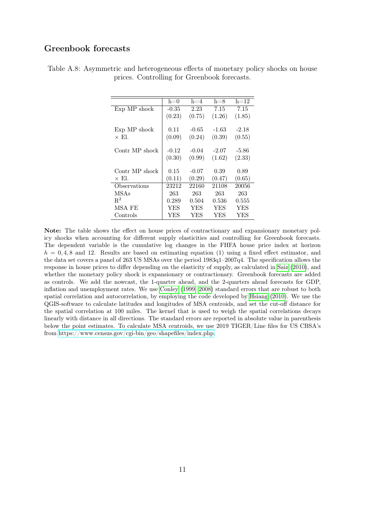### Greenbook forecasts

|                | $h=0$   | $h = 4$ | $h=8$   | $h=12$     |
|----------------|---------|---------|---------|------------|
| Exp MP shock   | $-0.35$ | 2.23    | 7.15    | 7.15       |
|                | (0.23)  | (0.75)  | (1.26)  | (1.85)     |
|                |         |         |         |            |
| Exp MP shock   | 0.11    | $-0.65$ | $-1.63$ | $-2.18$    |
| $\times$ El.   | (0.09)  | (0.24)  | (0.39)  | (0.55)     |
|                |         |         |         |            |
| Contr MP shock | $-0.12$ | $-0.04$ | $-2.07$ | -5.86      |
|                | (0.30)  | (0.99)  | (1.62)  | (2.33)     |
|                |         |         |         |            |
| Contr MP shock | 0.15    | $-0.07$ | 0.39    | 0.89       |
| $\times$ El.   | (0.11)  | (0.29)  | (0.47)  | (0.65)     |
| Observations   | 23212   | 22160   | 21108   | 20056      |
| <b>MSAs</b>    | 263     | 263     | 263     | 263        |
| $R^2$          | 0.289   | 0.504   | 0.536   | 0.555      |
| MSA FE         | YES     | YES     | YES     | <b>YES</b> |
| Controls       | YES     | YES     | YES     | <b>YES</b> |

Table A.8: Asymmetric and heterogeneous effects of monetary policy shocks on house prices. Controlling for Greenbook forecasts.

Note: The table shows the effect on house prices of contractionary and expansionary monetary policy shocks when accounting for different supply elasticities and controlling for Greenbook forecasts. The dependent variable is the cumulative log changes in the FHFA house price index at horizon  $h = 0, 4, 8$  and 12. Results are based on estimating equation (1) using a fixed effect estimator, and the data set covers a panel of 263 US MSAs over the period 1983q1–2007q4. The specification allows the response in house prices to differ depending on the elasticity of supply, as calculated in [Saiz](#page-14-3) [\(2010\)](#page-14-3), and whether the monetary policy shock is expansionary or contractionary. Greenbook forecasts are added as controls. We add the nowcast, the 1-quarter ahead, and the 2-quarters ahead forecasts for GDP, inflation and unemployment rates. We use [Conley](#page-14-0) [\(1999,](#page-14-0) [2008\)](#page-14-1) standard errors that are robust to both spatial correlation and autocorrelation, by employing the code developed by [Hsiang](#page-14-2) [\(2010\)](#page-14-2). We use the QGIS-software to calculate latitudes and longitudes of MSA centroids, and set the cut-off distance for the spatial correlation at 100 miles. The kernel that is used to weigh the spatial correlations decays linearly with distance in all directions. The standard errors are reported in absolute value in parenthesis below the point estimates. To calculate MSA centroids, we use 2019 TIGER/Line files for US CBSA's from [https://www.census.gov/cgi-bin/geo/shapefiles/index.php.](https://www.census.gov/cgi-bin/geo/shapefiles/index.php)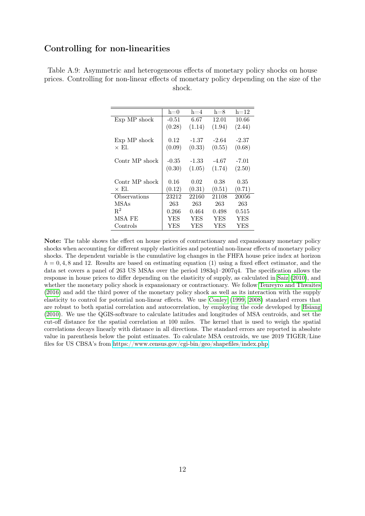#### Controlling for non-linearities

|                | $h=0$   | $h = 4$ | $h=8$   | $h=12$ |
|----------------|---------|---------|---------|--------|
| Exp MP shock   | $-0.51$ | 6.67    | 12.01   | 10.66  |
|                | (0.28)  | (1.14)  | (1.94)  | (2.44) |
|                |         |         |         |        |
| Exp MP shock   | 0.12    | $-1.37$ | $-2.64$ | -2.37  |
| $\times$ El.   | (0.09)  | (0.33)  | (0.55)  | (0.68) |
|                |         |         |         |        |
| Contr MP shock | $-0.35$ | -1.33   | -4.67   | -7.01  |
|                | (0.30)  | (1.05)  | (1.74)  | (2.50) |
|                |         |         |         |        |
| Contr MP shock | 0.16    | 0.02    | 0.38    | 0.35   |
| $\times$ El.   | (0.12)  | (0.31)  | (0.51)  | (0.71) |
| Observations   | 23212   | 22160   | 21108   | 20056  |
| <b>MSAs</b>    | 263     | 263     | 263     | 263    |
| $\mathbf{R}^2$ | 0.266   | 0.464   | 0.498   | 0.515  |
| MSA FE         | YES     | YES     | YES     | YES    |
| Controls       | YES     | YES     | YES     | YES    |

Table A.9: Asymmetric and heterogeneous effects of monetary policy shocks on house prices. Controlling for non-linear effects of monetary policy depending on the size of the shock.

Note: The table shows the effect on house prices of contractionary and expansionary monetary policy shocks when accounting for different supply elasticities and potential non-linear effects of monetary policy shocks. The dependent variable is the cumulative log changes in the FHFA house price index at horizon  $h = 0, 4, 8$  and 12. Results are based on estimating equation (1) using a fixed effect estimator, and the data set covers a panel of 263 US MSAs over the period 1983q1–2007q4. The specification allows the response in house prices to differ depending on the elasticity of supply, as calculated in [Saiz](#page-14-3) [\(2010\)](#page-14-3), and whether the monetary policy shock is expansionary or contractionary. We follow [Tenreyro and Thwaites](#page-14-7) [\(2016\)](#page-14-7) and add the third power of the monetary policy shock as well as its interaction with the supply elasticity to control for potential non-linear effects. We use [Conley](#page-14-0) [\(1999,](#page-14-0) [2008\)](#page-14-1) standard errors that are robust to both spatial correlation and autocorrelation, by employing the code developed by [Hsiang](#page-14-2) [\(2010\)](#page-14-2). We use the QGIS-software to calculate latitudes and longitudes of MSA centroids, and set the cut-off distance for the spatial correlation at 100 miles. The kernel that is used to weigh the spatial correlations decays linearly with distance in all directions. The standard errors are reported in absolute value in parenthesis below the point estimates. To calculate MSA centroids, we use 2019 TIGER/Line files for US CBSA's from [https://www.census.gov/cgi-bin/geo/shapefiles/index.php.](https://www.census.gov/cgi-bin/geo/shapefiles/index.php)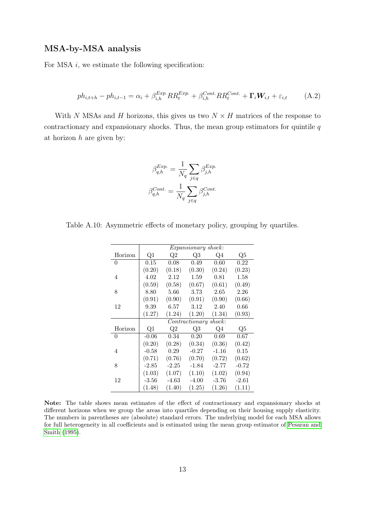#### MSA-by-MSA analysis

For MSA  $i$ , we estimate the following specification:

$$
ph_{i,t+h} - ph_{i,t-1} = \alpha_i + \beta_{i,h}^{Exp}RR_t^{Exp} + \beta_{i,h}^{Cont}RR_t^{Cont} + \mathbf{\Gamma}_i \mathbf{W}_{i,t} + \varepsilon_{i,t}
$$
 (A.2)

With N MSAs and H horizons, this gives us two  $N \times H$  matrices of the response to contractionary and expansionary shocks. Thus, the mean group estimators for quintile  $q$ at horizon  $h$  are given by:

$$
\beta_{q,h}^{Exp.} = \frac{1}{N_q} \sum_{j \in q} \beta_{j,h}^{Exp.}
$$

$$
\beta_{q,h}^{Cont.} = \frac{1}{N_q} \sum_{j \in q} \beta_{j,h}^{Cont.}
$$

Table A.10: Asymmetric effects of monetary policy, grouping by quartiles.

|                |         | Expansionary shock: |                       |         |         |  |  |  |
|----------------|---------|---------------------|-----------------------|---------|---------|--|--|--|
| Horizon        | Q1      | $\mathrm{Q}2$       | Q3                    | Q4      | Q5      |  |  |  |
| $\overline{0}$ | 0.15    | 0.08                | 0.49                  | 0.60    | 0.22    |  |  |  |
|                | (0.20)  | (0.18)              | (0.30)                | (0.24)  | (0.23)  |  |  |  |
| 4              | 4.02    | 2.12                | 1.59                  | 0.81    | 1.58    |  |  |  |
|                | (0.59)  | (0.58)              | (0.67)                | (0.61)  | (0.49)  |  |  |  |
| 8              | 8.80    | 5.66                | 3.73                  | 2.65    | 2.26    |  |  |  |
|                | (0.91)  | (0.90)              | (0.91)                | (0.90)  | (0.66)  |  |  |  |
| 12             | 9.39    | 6.57                | 3.12                  | 2.40    | 0.66    |  |  |  |
|                | (1.27)  | (1.24)              | (1.20)                | (1.34)  | (0.93)  |  |  |  |
|                |         |                     | Contractionary shock: |         |         |  |  |  |
| Horizon        | Q1      | Q2                  | Q3                    | $Q_4$   | Q5      |  |  |  |
| $\overline{0}$ | $-0.06$ | 0.34                | 0.20                  | 0.69    | 0.67    |  |  |  |
|                | (0.20)  | (0.28)              | (0.34)                | (0.36)  | (0.42)  |  |  |  |
| 4              | $-0.58$ | 0.29                | $-0.27$               | $-1.16$ | 0.15    |  |  |  |
|                | (0.71)  | (0.76)              | (0.70)                | (0.72)  | (0.62)  |  |  |  |
| 8              | $-2.85$ | $-2.25$             | $-1.84$               | $-2.77$ | $-0.72$ |  |  |  |
|                | (1.03)  | (1.07)              | (1.10)                | (1.02)  | (0.94)  |  |  |  |
| 12             | $-3.56$ | $-4.63$             | $-4.00$               | $-3.76$ | $-2.61$ |  |  |  |
|                | (1.48)  | (1.40)              | (1.25)                | (1.26)  | (1.11)  |  |  |  |

Note: The table shows mean estimates of the effect of contractionary and expansionary shocks at different horizons when we group the areas into quartiles depending on their housing supply elasticity. The numbers in parentheses are (absolute) standard errors. The underlying model for each MSA allows for full heterogeneity in all coefficients and is estimated using the mean group estimator of [Pesaran and](#page-14-8) [Smith](#page-14-8) [\(1995\)](#page-14-8).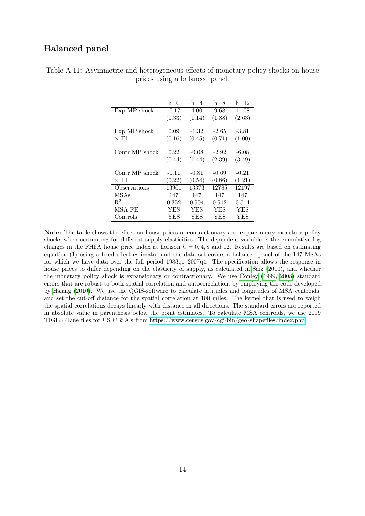### Balanced panel

|                | $h=0$   | $h = 4$ | $h=8$   | $h=12$  |
|----------------|---------|---------|---------|---------|
| Exp MP shock   | $-0.17$ | 4.00    | 9.68    | 11.08   |
|                | (0.33)  | (1.14)  | (1.88)  | (2.63)  |
| Exp MP shock   | 0.09    | $-1.32$ | $-2.65$ | -3.81   |
| $\times$ El.   | (0.16)  | (0.45)  | (0.71)  | (1.00)  |
| Contr MP shock | 0.22    | $-0.08$ | $-2.92$ | $-6.08$ |
|                | (0.44)  | (1.44)  | (2.39)  | (3.49)  |
| Contr MP shock | $-0.11$ | $-0.81$ | $-0.69$ | $-0.21$ |
| $\times$ El.   | (0.22)  | (0.54)  | (0.86)  | (1.21)  |
| Observations   | 13961   | 13373   | 12785   | 12197   |
| <b>MSAs</b>    | 147     | 147     | 147     | 147     |
| $\mathbf{R}^2$ | 0.352   | 0.504   | 0.512   | 0.514   |
| MSA FE         | YES     | YES     | YES     | YES     |
| Controls       | YES     | YES     | YES     | YES     |

Table A.11: Asymmetric and heterogeneous effects of monetary policy shocks on house prices using a balanced panel.

Note: The table shows the effect on house prices of contractionary and expansionary monetary policy shocks when accounting for different supply elasticities. The dependent variable is the cumulative log changes in the FHFA house price index at horizon  $h = 0, 4, 8$  and 12. Results are based on estimating equation (1) using a fixed effect estimator and the data set covers a balanced panel of the 147 MSAs for which we have data over the full period 1983q1–2007q4. The specification allows the response in house prices to differ depending on the elasticity of supply, as calculated in [Saiz](#page-14-3) [\(2010\)](#page-14-3), and whether the monetary policy shock is expansionary or contractionary. We use [Conley](#page-14-0) [\(1999,](#page-14-0) [2008\)](#page-14-1) standard errors that are robust to both spatial correlation and autocorrelation, by employing the code developed by [Hsiang](#page-14-2) [\(2010\)](#page-14-2). We use the QGIS-software to calculate latitudes and longitudes of MSA centroids, and set the cut-off distance for the spatial correlation at 100 miles. The kernel that is used to weigh the spatial correlations decays linearly with distance in all directions. The standard errors are reported in absolute value in parenthesis below the point estimates. To calculate MSA centroids, we use 2019 TIGER/Line files for US CBSA's from [https://www.census.gov/cgi-bin/geo/shapefiles/index.php.](https://www.census.gov/cgi-bin/geo/shapefiles/index.php)